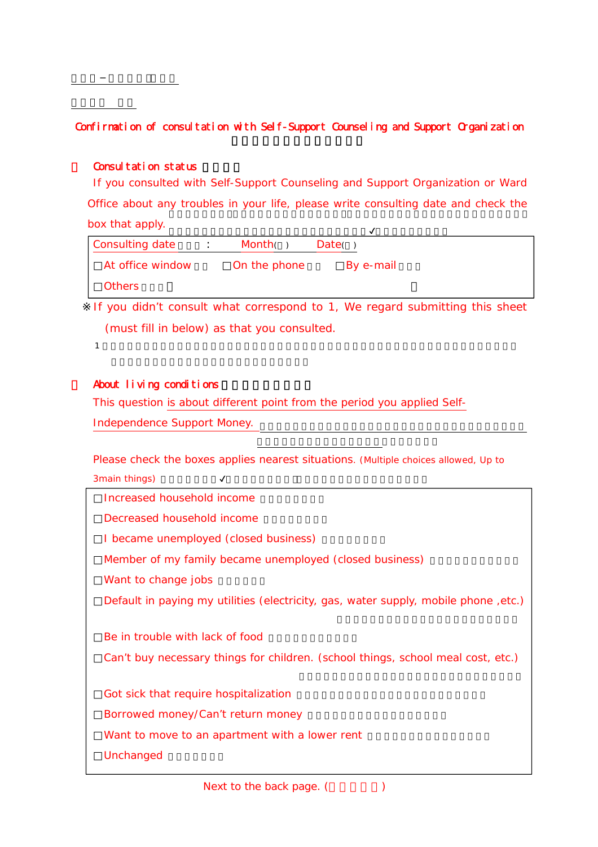## Confirmation of consultation with Self-Support Counseling and Support Organization

## Consultation status

If you consulted with Self-Support Counseling and Support Organization or Ward Office about any troubles in your life, please write consulting date and check the box that apply.

| Consulting date  | Month(       | Date()    |  |
|------------------|--------------|-----------|--|
| At office window | On the phone | By e-mail |  |
| Others           |              |           |  |

If you didn t consult what correspond to 1, We regard submitting this sheet (must fill in below) as that you consulted.

1  $\blacksquare$ 

## About living conditions

This question is about different point from the period you applied Self-

Independence Support Money.

Please check the boxes applies nearest situations. (Multiple choices allowed, Up to  $3$ main things)  $\boldsymbol{V}$ 

| Increased household income                                                          |
|-------------------------------------------------------------------------------------|
| Decreased household income                                                          |
| I became unemployed (closed business)                                               |
| Member of my family became unemployed (closed business)                             |
| Want to change jobs                                                                 |
| Default in paying my utilities (electricity, gas, water supply, mobile phone, etc.) |
|                                                                                     |
| Be in trouble with lack of food                                                     |
| Can t buy necessary things for children. (school things, school meal cost, etc.)    |
|                                                                                     |
| Got sick that require hospitalization                                               |
| Borrowed money/Can t return money                                                   |
| Want to move to an apartment with a lower rent                                      |
| Unchanged                                                                           |
|                                                                                     |